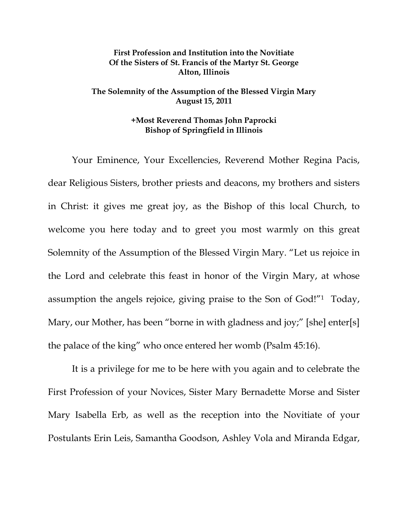## **First Profession and Institution into the Novitiate Of the Sisters of St. Francis of the Martyr St. George Alton, Illinois**

## **The Solemnity of the Assumption of the Blessed Virgin Mary August 15, 2011**

## **+Most Reverend Thomas John Paprocki Bishop of Springfield in Illinois**

 Your Eminence, Your Excellencies, Reverend Mother Regina Pacis, dear Religious Sisters, brother priests and deacons, my brothers and sisters in Christ: it gives me great joy, as the Bishop of this local Church, to welcome you here today and to greet you most warmly on this great Solemnity of the Assumption of the Blessed Virgin Mary. "Let us rejoice in the Lord and celebrate this feast in honor of the Virgin Mary, at whose assumption the angels rejoice, giving praise to the Son of God!"1 Today, Mary, our Mother, has been "borne in with gladness and joy;" [she] enter[s] the palace of the king" who once entered her womb (Psalm 45:16).

It is a privilege for me to be here with you again and to celebrate the First Profession of your Novices, Sister Mary Bernadette Morse and Sister Mary Isabella Erb, as well as the reception into the Novitiate of your Postulants Erin Leis, Samantha Goodson, Ashley Vola and Miranda Edgar,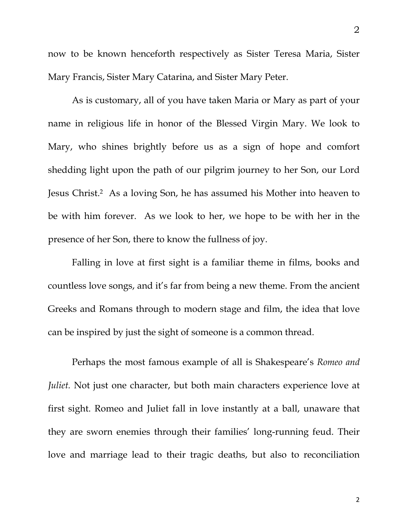now to be known henceforth respectively as Sister Teresa Maria, Sister Mary Francis, Sister Mary Catarina, and Sister Mary Peter.

 As is customary, all of you have taken Maria or Mary as part of your name in religious life in honor of the Blessed Virgin Mary. We look to Mary, who shines brightly before us as a sign of hope and comfort shedding light upon the path of our pilgrim journey to her Son, our Lord Jesus Christ.2 As a loving Son, he has assumed his Mother into heaven to be with him forever. As we look to her, we hope to be with her in the presence of her Son, there to know the fullness of joy.

Falling in love at first sight is a familiar theme in films, books and countless love songs, and it's far from being a new theme. From the ancient Greeks and Romans through to modern stage and film, the idea that love can be inspired by just the sight of someone is a common thread.

Perhaps the most famous example of all is Shakespeare's *Romeo and Juliet*. Not just one character, but both main characters experience love at first sight. Romeo and Juliet fall in love instantly at a ball, unaware that they are sworn enemies through their families' long-running feud. Their love and marriage lead to their tragic deaths, but also to reconciliation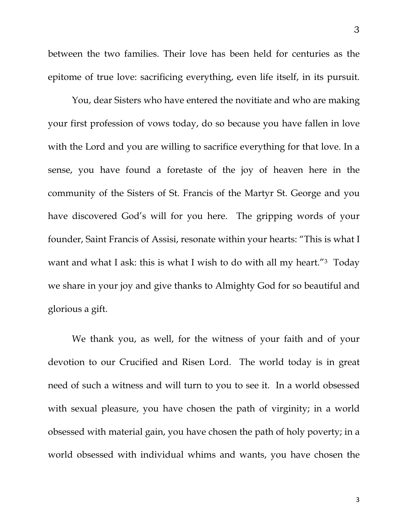between the two families. Their love has been held for centuries as the epitome of true love: sacrificing everything, even life itself, in its pursuit.

 You, dear Sisters who have entered the novitiate and who are making your first profession of vows today, do so because you have fallen in love with the Lord and you are willing to sacrifice everything for that love. In a sense, you have found a foretaste of the joy of heaven here in the community of the Sisters of St. Francis of the Martyr St. George and you have discovered God's will for you here. The gripping words of your founder, Saint Francis of Assisi, resonate within your hearts: "This is what I want and what I ask: this is what I wish to do with all my heart."3 Today we share in your joy and give thanks to Almighty God for so beautiful and glorious a gift.

 We thank you, as well, for the witness of your faith and of your devotion to our Crucified and Risen Lord. The world today is in great need of such a witness and will turn to you to see it. In a world obsessed with sexual pleasure, you have chosen the path of virginity; in a world obsessed with material gain, you have chosen the path of holy poverty; in a world obsessed with individual whims and wants, you have chosen the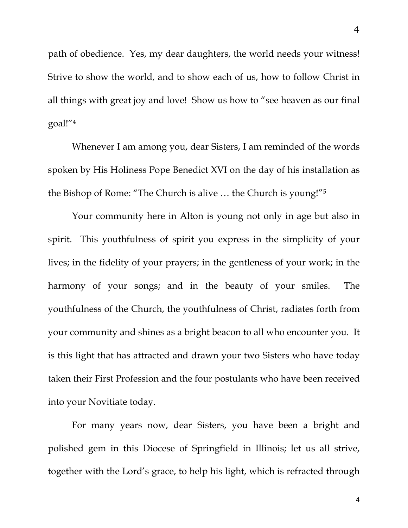path of obedience. Yes, my dear daughters, the world needs your witness! Strive to show the world, and to show each of us, how to follow Christ in all things with great joy and love! Show us how to "see heaven as our final goal!"4

 Whenever I am among you, dear Sisters, I am reminded of the words spoken by His Holiness Pope Benedict XVI on the day of his installation as the Bishop of Rome: "The Church is alive … the Church is young!"5

 Your community here in Alton is young not only in age but also in spirit. This youthfulness of spirit you express in the simplicity of your lives; in the fidelity of your prayers; in the gentleness of your work; in the harmony of your songs; and in the beauty of your smiles. The youthfulness of the Church, the youthfulness of Christ, radiates forth from your community and shines as a bright beacon to all who encounter you. It is this light that has attracted and drawn your two Sisters who have today taken their First Profession and the four postulants who have been received into your Novitiate today.

 For many years now, dear Sisters, you have been a bright and polished gem in this Diocese of Springfield in Illinois; let us all strive, together with the Lord's grace, to help his light, which is refracted through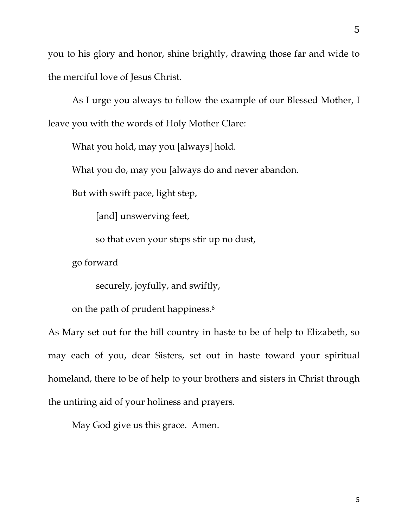you to his glory and honor, shine brightly, drawing those far and wide to the merciful love of Jesus Christ.

 As I urge you always to follow the example of our Blessed Mother, I leave you with the words of Holy Mother Clare:

What you hold, may you [always] hold.

What you do, may you [always do and never abandon.

But with swift pace, light step,

[and] unswerving feet,

so that even your steps stir up no dust,

go forward

securely, joyfully, and swiftly,

on the path of prudent happiness.6

As Mary set out for the hill country in haste to be of help to Elizabeth, so may each of you, dear Sisters, set out in haste toward your spiritual homeland, there to be of help to your brothers and sisters in Christ through the untiring aid of your holiness and prayers.

May God give us this grace. Amen.